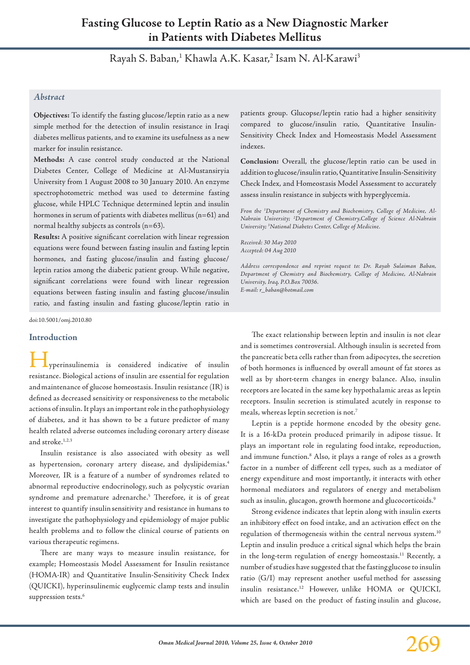# **Fasting Glucose to Leptin Ratio as a New Diagnostic Marker in Patients with Diabetes Mellitus**

Rayah S. Baban,<sup>1</sup> Khawla A.K. Kasar,<sup>2</sup> Isam N. Al-Karawi<sup>3</sup>

## *Abstract*

**Objectives:** To identify the fasting glucose/leptin ratio as a new simple method for the detection of insulin resistance in Iraqi diabetes mellitus patients, and to examine its usefulness as a new marker for insulin resistance.

**Methods:** A case control study conducted at the National Diabetes Center, College of Medicine at Al-Mustansiryia University from 1 August 2008 to 30 January 2010. An enzyme spectrophotometric method was used to determine fasting glucose, while HPLC Technique determined leptin and insulin hormones in serum of patients with diabetes mellitus (n=61) and normal healthy subjects as controls (n=63).

**Results:** A positive significant correlation with linear regression equations were found between fasting insulin and fasting leptin hormones, and fasting glucose/insulin and fasting glucose/ leptin ratios among the diabetic patient group. While negative, significant correlations were found with linear regression equations between fasting insulin and fasting glucose/insulin ratio, and fasting insulin and fasting glucose/leptin ratio in

doi:10.5001/omj.2010.80

### **Introduction**

yperinsulinemia is considered indicative of insulin resistance. Biological actions of insulin are essential for regulation andmaintenance of glucose homeostasis. Insulin resistance (IR) is defined as decreased sensitivity or responsiveness to the metabolic actions of insulin. It plays an important role in the pathophysiology of diabetes, and it has shown to be a future predictor of many health related adverse outcomes including coronary artery disease and stroke.1,2,3

Insulin resistance is also associated with obesity as well as hypertension, coronary artery disease, and dyslipidemias.4 Moreover, IR is a feature of a number of syndromes related to abnormal reproductive endocrinology, such as polycystic ovarian syndrome and premature adrenarche.<sup>5</sup> Therefore, it is of great interest to quantify insulin sensitivity and resistance in humans to investigate the pathophysiology and epidemiology of major public health problems and to follow the clinical course of patients on various therapeutic regimens.

There are many ways to measure insulin resistance, for example; Homeostasis Model Assessment for Insulin resistance (HOMA-IR) and Quantitative Insulin-Sensitivity Check Index (QUICKI), hyperinsulinemic euglycemic clamp tests and insulin suppression tests.<sup>6</sup>

patients group. Glucopse/leptin ratio had a higher sensitivity compared to glucose/insulin ratio, Quantitative Insulin-Sensitivity Check Index and Homeostasis Model Assessment indexes.

**Conclusion:** Overall, the glucose/leptin ratio can be used in addition to glucose/insulin ratio, Quantitative Insulin-Sensitivity Check Index, and Homeostasis Model Assessment to accurately assess insulin resistance in subjects with hyperglycemia.

*Fron the 1 Department of Chemistry and Biochemistry, College of Medicine, Al-Nahrain University; 2 Department of Chemistry,College of Science Al-Nahrain University; 3 National Diabetes Center, College of Medicine.*

*Received: 30 May 2010 Accepted: 04 Aug 2010*

*Address correspondence and reprint request to: Dr. Rayah Sulaiman Baban, Department of Chemistry and Biochemistry, College of Medicine, Al-Nahrain University, Iraq, P.O.Box 70036. E-mail: r\_baban@hotmail.com*

The exact relationship between leptin and insulin is not clear and is sometimes controversial. Although insulin is secreted from the pancreatic beta cells rather than from adipocytes, the secretion of both hormones is influenced by overall amount of fat stores as well as by short-term changes in energy balance. Also, insulin receptors are located in the same key hypothalamic areas as leptin receptors. Insulin secretion is stimulated acutely in response to meals, whereas leptin secretion is not.7

Leptin is a peptide hormone encoded by the obesity gene. It is a 16-kDa protein produced primarily in adipose tissue. It plays an important role in regulating food intake, reproduction, and immune function.<sup>8</sup> Also, it plays a range of roles as a growth factor in a number of different cell types, such as a mediator of energy expenditure and most importantly, it interacts with other hormonal mediators and regulators of energy and metabolism such as insulin, glucagon, growth hormone and glucocorticoids.<sup>9</sup>

Strong evidence indicates that leptin along with insulin exerts an inhibitory effect on food intake, and an activation effect on the regulation of thermogenesis within the central nervous system.<sup>10</sup> Leptin and insulin produce a critical signal which helps the brain in the long-term regulation of energy homeostasis.<sup>11</sup> Recently, a number of studies have suggested that the fastingglucose to insulin ratio (G/I) may represent another useful method for assessing insulin resistance.12 However, unlike HOMA or QUICKI, which are based on the product of fasting insulin and glucose,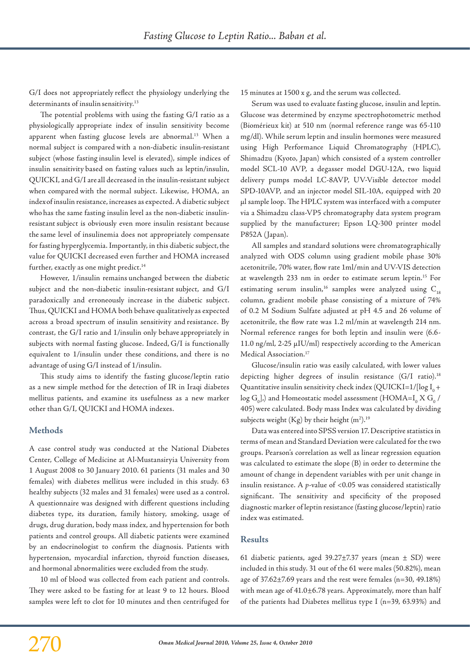G/I does not appropriately reflect the physiology underlying the determinants of insulin sensitivity.<sup>13</sup>

The potential problems with using the fasting G/I ratio as a physiologically appropriate index of insulin sensitivity become apparent when fasting glucose levels are abnormal.<sup>13</sup> When a normal subject is compared with a non-diabetic insulin-resistant subject (whose fasting insulin level is elevated), simple indices of insulin sensitivity based on fasting values such as leptin/insulin, QUICKI, and G/I are all decreased in the insulin-resistant subject when compared with the normal subject. Likewise, HOMA, an indexof insulin resistance, increases as expected. A diabetic subject who has the same fasting insulin level as the non-diabetic insulinresistant subject is obviously even more insulin resistant because the same level of insulinemia does not appropriately compensate for fasting hyperglycemia. Importantly, in this diabetic subject, the value for QUICKI decreased even further and HOMA increased further, exactly as one might predict.<sup>14</sup>

However, 1/insulin remains unchanged between the diabetic subject and the non-diabetic insulin-resistant subject, and G/I paradoxically and erroneously increase in the diabetic subject. Thus, QUICKI and HOMA both behave qualitativelyas expected across a broad spectrum of insulin sensitivity and resistance. By contrast, the G/I ratio and 1/insulin only behave appropriately in subjects with normal fasting glucose. Indeed, G/I is functionally equivalent to 1/insulin under these conditions, and there is no advantage of using G/I instead of 1/insulin.

This study aims to identify the fasting glucose/leptin ratio as a new simple method for the detection of IR in Iraqi diabetes mellitus patients, and examine its usefulness as a new marker other than G/I, QUICKI and HOMA indexes.

## **Methods**

A case control study was conducted at the National Diabetes Center, College of Medicine at Al-Mustansiryia University from 1 August 2008 to 30 January 2010. 61 patients (31 males and 30 females) with diabetes mellitus were included in this study. 63 healthy subjects (32 males and 31 females) were used as a control. A questionnaire was designed with different questions including diabetes type, its duration, family history, smoking, usage of drugs, drug duration, body mass index, and hypertension for both patients and control groups. All diabetic patients were examined by an endocrinologist to confirm the diagnosis. Patients with hypertension, myocardial infarction, thyroid function diseases, and hormonal abnormalities were excluded from the study.

10 ml of blood was collected from each patient and controls. They were asked to be fasting for at least 9 to 12 hours. Blood samples were left to clot for 10 minutes and then centrifuged for 15 minutes at 1500 x g, and the serum was collected.

Serum was used to evaluate fasting glucose, insulin and leptin. Glucose was determined by enzyme spectrophotometric method (Biomérieux kit) at 510 nm (normal reference range was 65-110 mg/dl). While serum leptin and insulin hormones were measured using High Performance Liquid Chromatography (HPLC), Shimadzu (Kyoto, Japan) which consisted of a system controller model SCL-10 AVP, a degasser model DGU-12A, two liquid delivery pumps model LC-8AVP, UV-Visible detector model SPD-10AVP, and an injector model SIL-10A, equipped with 20 µl sample loop. The HPLC system was interfaced with a computer via a Shimadzu class-VP5 chromatography data system program supplied by the manufacturer; Epson LQ-300 printer model P852A (Japan).

All samples and standard solutions were chromatographically analyzed with ODS column using gradient mobile phase 30% acetonitrile, 70% water, flow rate 1ml/min and UV-VIS detection at wavelength 233 nm in order to estimate serum leptin.<sup>15</sup> For estimating serum insulin,<sup>16</sup> samples were analyzed using  $C_{18}$ column, gradient mobile phase consisting of a mixture of 74% of 0.2 M Sodium Sulfate adjusted at pH 4.5 and 26 volume of acetonitrile, the flow rate was 1.2 ml/min at wavelength 214 nm. Normal reference ranges for both leptin and insulin were (6.6- 11.0 ng/ml, 2-25 µIU/ml) respectively according to the American Medical Association.<sup>17</sup>

Glucose/insulin ratio was easily calculated, with lower values depicting higher degrees of insulin resistance  $(G/I \text{ ratio})$ .<sup>18</sup> Quantitative insulin sensitivity check index (QUICKI= $1/[\log I_0 +$  $\rm log~G_{0}$  ),) and Homeostatic model assessment (HOMA=I  $\rm _0$  X  $\rm G_{0}$  / 405) were calculated. Body mass Index was calculated by dividing subjects weight (Kg) by their height  $(m^2)$ .<sup>19</sup>

Data was entered into SPSS version 17. Descriptive statistics in terms of mean and Standard Deviation were calculated for the two groups. Pearson's correlation as well as linear regression equation was calculated to estimate the slope (B) in order to determine the amount of change in dependent variables with per unit change in insulin resistance. A *p*-value of <0.05 was considered statistically significant. The sensitivity and specificity of the proposed diagnostic marker of leptin resistance (fasting glucose/leptin) ratio index was estimated.

## **Results**

61 diabetic patients, aged 39.27±7.37 years (mean ± SD) were included in this study. 31 out of the 61 were males (50.82%), mean age of  $37.62 \pm 7.69$  years and the rest were females (n=30, 49.18%) with mean age of 41.0±6.78 years. Approximately, more than half of the patients had Diabetes mellitus type I (n=39, 63.93%) and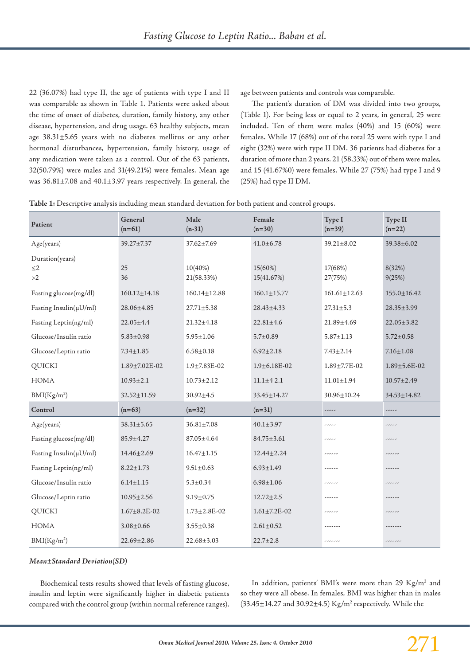22 (36.07%) had type II, the age of patients with type I and II was comparable as shown in Table 1. Patients were asked about the time of onset of diabetes, duration, family history, any other disease, hypertension, and drug usage. 63 healthy subjects, mean age 38.31±5.65 years with no diabetes mellitus or any other hormonal disturbances, hypertension, family history, usage of any medication were taken as a control. Out of the 63 patients, 32(50.79%) were males and 31(49.21%) were females. Mean age was 36.81±7.08 and 40.1±3.97 years respectively. In general, the age between patients and controls was comparable.

The patient's duration of DM was divided into two groups, (Table 1). For being less or equal to 2 years, in general, 25 were included. Ten of them were males (40%) and 15 (60%) were females. While 17 (68%) out of the total 25 were with type I and eight (32%) were with type II DM. 36 patients had diabetes for a duration of more than 2 years. 21 (58.33%) out of them were males, and 15 (41.67%0) were females. While 27 (75%) had type I and 9 (25%) had type II DM.

| Patient                           | General<br>$(n=61)$   | Male<br>$(n-31)$         | Female<br>$(n=30)$    | Type I<br>$(n=39)$ | Type II<br>$(n=22)$  |
|-----------------------------------|-----------------------|--------------------------|-----------------------|--------------------|----------------------|
| Age(years)                        | 39.27±7.37            | $37.62 \pm 7.69$         | $41.0 \pm 6.78$       | $39.21 \pm 8.02$   | 39.38±6.02           |
| Duration(years)<br>$\leq$ 2<br>>2 | 25<br>36              | $10(40\%)$<br>21(58.33%) | 15(60%)<br>15(41.67%) | 17(68%)<br>27(75%) | 8(32%)<br>9(25%)     |
| Fasting glucose(mg/dl)            | $160.12 \pm 14.18$    | 160.14±12.88             | $160.1 \pm 15.77$     | $161.61 \pm 12.63$ | $155.0 \pm 16.42$    |
| Fasting Insulin(µU/ml)            | 28.06±4.85            | $27.71 \pm 5.38$         | 28.43±4.33            | $27.31 \pm 5.3$    | $28.35 \pm 3.99$     |
| Fasting Leptin(ng/ml)             | $22.05 \pm 4.4$       | $21.32 \pm 4.18$         | $22.81 \pm 4.6$       | $21.89 \pm 4.69$   | $22.05 \pm 3.82$     |
| Glucose/Insulin ratio             | $5.83 \pm 0.98$       | $5.95 \pm 1.06$          | $5.7 \pm 0.89$        | $5.87 \pm 1.13$    | $5.72 \pm 0.58$      |
| Glucose/Leptin ratio              | $7.34 \pm 1.85$       | $6.58 \pm 0.18$          | $6.92 \pm 2.18$       | $7.43 \pm 2.14$    | $7.16 \pm 1.08$      |
| QUICKI                            | $1.89 \pm 7.02E - 02$ | 1.9±7.83E-02             | $1.9 \pm 6.18E - 02$  | 1.89±7.7E-02       | $1.89 \pm 5.6E - 02$ |
| <b>HOMA</b>                       | $10.93 \pm 2.1$       | $10.73 \pm 2.12$         | $11.1 \pm 42.1$       | $11.01 \pm 1.94$   | $10.57 \pm 2.49$     |
| BMI(Kg/m <sup>2</sup> )           | 32.52±11.59           | 30.92±4.5                | 33.45±14.27           | 30.96±10.24        | 34.53±14.82          |
| Control                           | $(n=63)$              | $(n=32)$                 | $(n=31)$              | -----              | -----                |
| Age(years)                        | $38.31 \pm 5.65$      | $36.81 \pm 7.08$         | $40.1 \pm 3.97$       | -----              | -----                |
| Fasting glucose(mg/dl)            | $85.9 \pm 4.27$       | $87.05 \pm 4.64$         | $84.75 \pm 3.61$      | -----              | -----                |
| Fasting Insulin(µU/ml)            | 14.46±2.69            | $16.47 \pm 1.15$         | 12.44±2.24            | ------             | ------               |
| Fasting Leptin(ng/ml)             | $8.22 \pm 1.73$       | $9.51 \pm 0.63$          | $6.93 \pm 1.49$       | ------             | ------               |
| Glucose/Insulin ratio             | $6.14 \pm 1.15$       | $5.3 \pm 0.34$           | $6.98 \pm 1.06$       | ------             | ------               |
| Glucose/Leptin ratio              | $10.95 \pm 2.56$      | $9.19 \pm 0.75$          | $12.72 \pm 2.5$       | ------             | ------               |
| <b>QUICKI</b>                     | $1.67 \pm 8.2 E - 02$ | $1.73 \pm 2.8$ E-02      | $1.61 \pm 7.2E - 02$  | ------             | ------               |
| <b>HOMA</b>                       | $3.08 \pm 0.66$       | $3.55 \pm 0.38$          | $2.61 \pm 0.52$       | -------            | -------              |
| BMI(Kg/m <sup>2</sup> )           | $22.69 \pm 2.86$      | $22.68 \pm 3.03$         | $22.7 \pm 2.8$        | -------            | -------              |

**Table 1:** Descriptive analysis including mean standard deviation for both patient and control groups.

#### *Mean±Standard Deviation(SD)*

Biochemical tests results showed that levels of fasting glucose, insulin and leptin were significantly higher in diabetic patients compared with the control group (within normal reference ranges).

In addition, patients' BMI's were more than 29  $Kg/m^2$  and so they were all obese. In females, BMI was higher than in males  $(33.45 \pm 14.27 \text{ and } 30.92 \pm 4.5) \text{ Kg/m}^2$  respectively. While the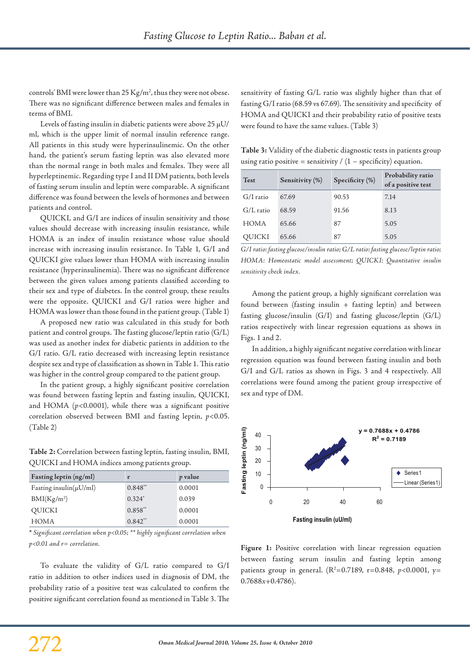controls' BMI were lower than  $25 \text{ Kg/m}^2$ , thus they were not obese. There was no significant difference between males and females in terms of BMI.

Levels of fasting insulin in diabetic patients were above 25 µU/ ml, which is the upper limit of normal insulin reference range. All patients in this study were hyperinsulinemic. On the other hand, the patient's serum fasting leptin was also elevated more than the normal range in both males and females. They were all hyperleptinemic. Regarding type I and II DM patients, both levels of fasting serum insulin and leptin were comparable. A significant difference was found between the levels of hormones and between patients and control.

QUICKI, and G/I are indices of insulin sensitivity and those values should decrease with increasing insulin resistance, while HOMA is an index of insulin resistance whose value should increase with increasing insulin resistance. In Table 1, G/I and QUICKI give values lower than HOMA with increasing insulin resistance (hyperinsulinemia). There was no significant difference between the given values among patients classified according to their sex and type of diabetes. In the control group, these results were the opposite. QUICKI and G/I ratios were higher and HOMA was lower than those found in the patient group. (Table 1)

A proposed new ratio was calculated in this study for both patient and control groups. The fasting glucose/leptin ratio (G/L) was used as another index for diabetic patients in addition to the G/I ratio. G/L ratio decreased with increasing leptin resistance despite sex and type of classification as shown in Table 1. This ratio was higher in the control group compared to the patient group.

In the patient group, a highly significant positive correlation was found between fasting leptin and fasting insulin, QUICKI, and HOMA  $(p<0.0001)$ , while there was a significant positive correlation observed between BMI and fasting leptin, *p*<0.05. (Table 2)

**Table 2:** Correlation between fasting leptin, fasting insulin, BMI, QUICKI and HOMA indices among patients group.

| Fasting leptin (ng/ml)       | r         | <i>p</i> value |
|------------------------------|-----------|----------------|
| Fasting insulin( $\mu$ U/ml) | $0.848**$ | 0.0001         |
| BMI(Kg/m <sup>2</sup> )      | $0.324*$  | 0.039          |
| OUICKI                       | $0.858**$ | 0.0001         |
| <b>HOMA</b>                  | $0.842**$ | 0.0001         |

**\*** *Significant correlation when p<0.05; \*\* highly significant correlation when p<0.01 and r= correlation.*

To evaluate the validity of G/L ratio compared to G/I ratio in addition to other indices used in diagnosis of DM, the probability ratio of a positive test was calculated to confirm the positive significant correlation found as mentioned in Table 3. The sensitivity of fasting G/L ratio was slightly higher than that of fasting G/I ratio (68.59 vs 67.69). The sensitivity and specificity of HOMA and QUICKI and their probability ratio of positive tests were found to have the same values. (Table 3)

**Table 3:** Validity of the diabetic diagnostic tests in patients group using ratio positive = sensitivity  $/(1 -$  specificity) equation.

| <b>Test</b>   | Sensitivity (%) | Specificity $(\%)$ | Probability ratio<br>of a positive test |
|---------------|-----------------|--------------------|-----------------------------------------|
| G/I ratio     | 67.69           | 90.53              | 7.14                                    |
| G/L ratio     | 68.59           | 91.56              | 8.13                                    |
| <b>HOMA</b>   | 65.66           | 87                 | 5.05                                    |
| <b>OUICKI</b> | 65.66           | 87                 | 5.05                                    |

*G/I ratio: fasting glucose/insulin ratio; G/L ratio: fasting glucose/leptin ratio; HOMA: Homeostatic model assessment; QUICKI: Quantitative insulin sensitivity check index.*

Among the patient group, a highly significant correlation was found between (fasting insulin + fasting leptin) and between fasting glucose/insulin (G/I) and fasting glucose/leptin (G/L) ratios respectively with linear regression equations as shows in Figs. 1 and 2.

In addition, a highly significant negative correlation with linear regression equation was found between fasting insulin and both G/I and G/L ratios as shown in Figs. 3 and 4 respectively. All correlations were found among the patient group irrespective of sex and type of DM.



**Figure 1:** Positive correlation with linear regression equation between fasting serum insulin and fasting leptin among patients group in general. ( $R^2 = 0.7189$ , r=0.848, p<0.0001, y= 0.7688*x*+0.4786).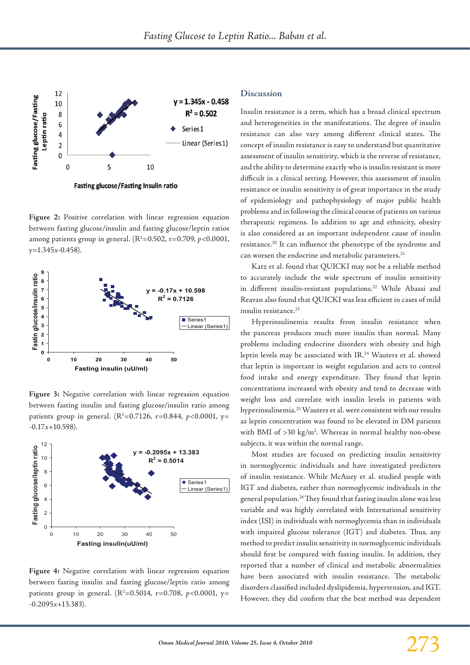

Fasting glucose/Fasting Insulin ratio

**Figure 2:** Positive correlation with linear regression equation between fasting glucose/insulin and fasting glucose/leptin ratios among patients group in general. (R2 =0.502, r=0.709, *p*<0.0001, y=1.345*x*-0.458).



**Figure 3:** Negative correlation with linear regression equation between fasting insulin and fasting glucose/insulin ratio among patients group in general. ( $R^2 = 0.7126$ , r=0.844, p<0.0001, y= -0.17*x*+10.598).



**Figure 4:** Negative correlation with linear regression equation between fasting insulin and fasting glucose/leptin ratio among patients group in general. (R<sup>2</sup>=0.5014, r=0.708, p<0.0001, y= -0.2095*x*+13.383).

### **Discussion**

Insulin resistance is a term, which has a broad clinical spectrum and heterogeneities in the manifestations. The degree of insulin resistance can also vary among different clinical states. The concept of insulin resistance is easy to understand but quantitative assessment of insulin sensitivity, which is the reverse of resistance, and the ability to determine exactly who is insulin resistant is more difficult in a clinical setting. However, this assessment of insulin resistance or insulin sensitivity is of great importance in the study of epidemiology and pathophysiology of major public health problems and in following the clinical course of patients on various therapeutic regimens. In addition to age and ethnicity, obesity is also considered as an important independent cause of insulin resistance.20 It can influence the phenotype of the syndrome and can worsen the endocrine and metabolic parameters.<sup>21</sup>

Katz et al. found that QUICKI may not be a reliable method to accurately include the wide spectrum of insulin sensitivity in different insulin-resistant populations.<sup>22</sup> While Abassi and Reavan also found that QUICKI was less efficient in cases of mild insulin resistance.<sup>23</sup>

Hyperinsulinemia results from insulin resistance when the pancreas produces much more insulin than normal. Many problems including endocrine disorders with obesity and high leptin levels may be associated with IR.<sup>24</sup> Wauters et al. showed that leptin is important in weight regulation and acts to control food intake and energy expenditure. They found that leptin concentrations increased with obesity and tend to decrease with weight loss and correlate with insulin levels in patients with hyperinsulinemia.25 Wauters et al. were consistent with our results as leptin concentration was found to be elevated in DM patients with BMI of  $>$ 30 kg/m<sup>2</sup>. Whereas in normal healthy non-obese subjects, it was within the normal range.

Most studies are focused on predicting insulin sensitivity in normoglycemic individuals and have investigated predictors of insulin resistance. While McAuey et al. studied people with IGT and diabetes, rather than normoglycemic individuals in the general population.26They found that fasting insulin alone was less variable and was highly correlated with International sensitivity index (ISI) in individuals with normoglycemia than in individuals with impaired glucose tolerance (IGT) and diabetes. Thus, any method to predict insulin sensitivity in normoglycemic individuals should first be compared with fasting insulin. In addition, they reported that a number of clinical and metabolic abnormalities have been associated with insulin resistance. The metabolic disorders classified included dyslipidemia, hypertension, and IGT. However, they did confirm that the best method was dependent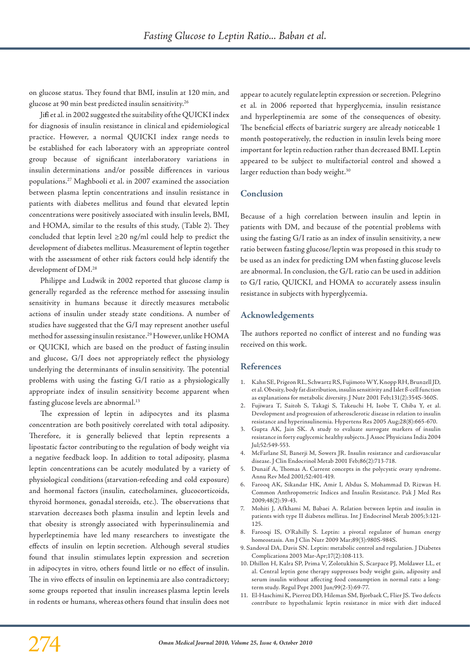on glucose status. They found that BMI, insulin at 120 min, and glucose at 90 min best predicted insulin sensitivity.26

Ji**f**íet al*.* in 2002 suggested the suitability ofthe QUICKI index for diagnosis of insulin resistance in clinical and epidemiological practice. However, a normal QUICKI index range needs to be established for each laboratory with an appropriate control group because of significant interlaboratory variations in insulin determinations and/or possible differences in various populations.27 Maghbooli et al. in 2007 examined the association between plasma leptin concentrations and insulin resistance in patients with diabetes mellitus and found that elevated leptin concentrations were positively associated with insulin levels, BMI, and HOMA, similar to the results of this study, (Table 2). They concluded that leptin level ≥20 ng/ml could help to predict the development of diabetes mellitus. Measurement of leptin together with the assessment of other risk factors could help identify the development of DM.28

Philippe and Ludwik in 2002 reported that glucose clamp is generally regarded as the reference method for assessing insulin sensitivity in humans because it directly measures metabolic actions of insulin under steady state conditions. A number of studies have suggested that the G/I may represent another useful method for assessing insulin resistance.<sup>29</sup> However, unlike HOMA or QUICKI, which are based on the product of fasting insulin and glucose, G/I does not appropriately reflect the physiology underlying the determinants of insulin sensitivity. The potential problems with using the fasting G/I ratio as a physiologically appropriate index of insulin sensitivity become apparent when fasting glucose levels are abnormal.<sup>13</sup>

The expression of leptin in adipocytes and its plasma concentration are both positively correlated with total adiposity. Therefore, it is generally believed that leptin represents a lipostatic factor contributing to the regulation of body weight via a negative feedback loop. In addition to total adiposity, plasma leptin concentrations can be acutely modulated by a variety of physiological conditions (starvation-refeeding and cold exposure) and hormonal factors (insulin, catecholamines, glucocorticoids, thyroid hormones, gonadal steroids, etc.). The observations that starvation decreases both plasma insulin and leptin levels and that obesity is strongly associated with hyperinsulinemia and hyperleptinemia have led many researchers to investigate the effects of insulin on leptin secretion. Although several studies found that insulin stimulates leptin expression and secretion in adipocytes in vitro, others found little or no effect of insulin. The in vivo effects of insulin on leptinemia are also contradictory; some groups reported that insulin increases plasma leptin levels in rodents or humans, whereas others found that insulin does not

appear to acutely regulateleptin expression or secretion. Pelegrino et al*.* in 2006 reported that hyperglycemia, insulin resistance and hyperleptinemia are some of the consequences of obesity. The beneficial effects of bariatric surgery are already noticeable 1 month postoperatively, the reduction in insulin levels being more important for leptin reduction rather than decreased BMI. Leptin appeared to be subject to multifactorial control and showed a larger reduction than body weight.<sup>30</sup>

# **Conclusion**

Because of a high correlation between insulin and leptin in patients with DM, and because of the potential problems with using the fasting G/I ratio as an index of insulin sensitivity, a new ratio between fasting glucose/leptin was proposed in this study to be used as an index for predicting DM when fasting glucose levels are abnormal. In conclusion, the G/L ratio can be used in addition to G/I ratio, QUICKI, and HOMA to accurately assess insulin resistance in subjects with hyperglycemia.

## **Acknowledgements**

The authors reported no conflict of interest and no funding was received on this work.

## **References**

- 1. Kahn SE, Prigeon RL, Schwartz RS, Fujimoto WY, Knopp RH, Brunzell JD, et al. Obesity, body fat distribution, insulin sensitivity and Islet ß-cell function as explanations for metabolic diversity. J Nutr 2001 Feb;131(2):354S-360S.
- 2. Fujiwara T, Saitoh S, Takagi S, Takeuchi H, Isobe T, Chiba Y, et al. Development and progression of atherosclerotic disease in relation to insulin resistance and hyperinsulinemia. Hypertens Res 2005 Aug;28(8):665-670.
- 3. Gupta AK, Jain SK. A study to evaluate surrogate markers of insulin resistance in forty euglycemic healthy subjects. J Assoc Physicians India 2004 Jul;52:549-553.
- 4. McFarlane SI, Banerji M, Sowers JR. Insulin resistance and cardiovascular disease. J Clin Endocrinol Metab 2001 Feb;86(2):713-718.
- 5. Dunaif A, Thomas A. Current concepts in the polycystic ovary syndrome. Annu Rev Med 2001;52:401-419.
- 6. Farooq AK, Sikandar HK, Amir I, Abdus S, Mohammad D, Rizwan H. Common Anthropometric Indices and Insulin Resistance. Pak J Med Res 2009;48(2):39-43.
- 7. Mohiti J, Afkhami M, Babaei A. Relation between leptin and insulin in patients with type II diabetes mellitus. Int J Endocrinol Metab 2005;3:121- 125.
- 8. Farooqi IS, O'Rahilly S. Leptin: a pivotal regulator of human energy homeostasis. Am J Clin Nutr 2009 Mar;89(3):980S-984S.
- 9. Sandoval DA, Davis SN. Leptin: metabolic control and regulation. J Diabetes Complications 2003 Mar-Apr;17(2):108-113.
- 10. Dhillon H, Kalra SP, Prima V, Zolotukhin S, Scarpace PJ, Moldawer LL, et al. Central leptin gene therapy suppresses body weight gain, adiposity and serum insulin without affecting food consumption in normal rats: a longterm study. Regul Pept 2001 Jun;99(2-3):69-77.
- 11. El-Haschimi K, Pierroz DD, Hileman SM, Bjorbaek C, Flier JS. Two defects contribute to hypothalamic leptin resistance in mice with diet induced